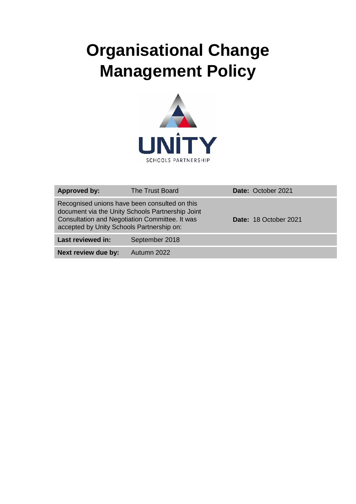# **Organisational Change Management Policy**



| <b>Approved by:</b>                                                                                                                                                                              | The Trust Board | Date: October 2021    |
|--------------------------------------------------------------------------------------------------------------------------------------------------------------------------------------------------|-----------------|-----------------------|
| Recognised unions have been consulted on this<br>document via the Unity Schools Partnership Joint<br>Consultation and Negotiation Committee. It was<br>accepted by Unity Schools Partnership on: |                 | Date: 18 October 2021 |
| Last reviewed in:                                                                                                                                                                                | September 2018  |                       |
| Next review due by:                                                                                                                                                                              | Autumn 2022     |                       |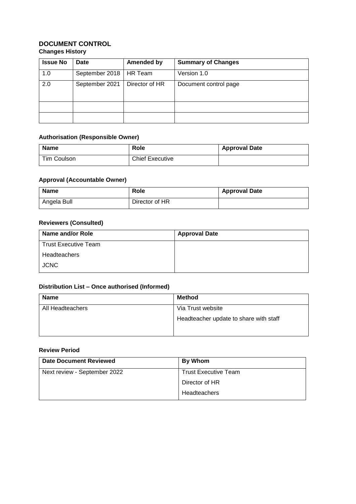## **DOCUMENT CONTROL Changes History**

| <b>Issue No</b> | Date           | <b>Amended by</b> | <b>Summary of Changes</b> |
|-----------------|----------------|-------------------|---------------------------|
| 1.0             | September 2018 | HR Team           | Version 1.0               |
| 2.0             | September 2021 | Director of HR    | Document control page     |
|                 |                |                   |                           |
|                 |                |                   |                           |

#### **Authorisation (Responsible Owner)**

| <b>Name</b> | Role                   | <b>Approval Date</b> |
|-------------|------------------------|----------------------|
| Tim Coulson | <b>Chief Executive</b> |                      |

## **Approval (Accountable Owner)**

| <b>Name</b> | Role           | <b>Approval Date</b> |
|-------------|----------------|----------------------|
| Angela Bull | Director of HR |                      |

## **Reviewers (Consulted)**

| Name and/or Role            | <b>Approval Date</b> |
|-----------------------------|----------------------|
| <b>Trust Executive Team</b> |                      |
| Headteachers                |                      |
| <b>JCNC</b>                 |                      |

## **Distribution List – Once authorised (Informed)**

| <b>Name</b>      | <b>Method</b>                          |
|------------------|----------------------------------------|
| All Headteachers | Via Trust website                      |
|                  | Headteacher update to share with staff |

#### **Review Period**

| Date Document Reviewed       | By Whom                     |
|------------------------------|-----------------------------|
| Next review - September 2022 | <b>Trust Executive Team</b> |
|                              | Director of HR              |
|                              | Headteachers                |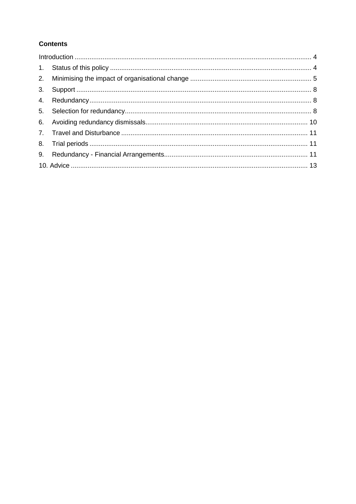## **Contents**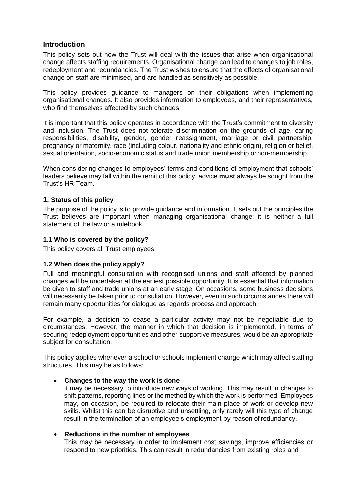## <span id="page-3-0"></span>**Introduction**

This policy sets out how the Trust will deal with the issues that arise when organisational change affects staffing requirements. Organisational change can lead to changes to job roles, redeployment and redundancies. The Trust wishes to ensure that the effects of organisational change on staff are minimised, and are handled as sensitively as possible.

This policy provides guidance to managers on their obligations when implementing organisational changes. It also provides information to employees, and their representatives, who find themselves affected by such changes.

It is important that this policy operates in accordance with the Trust's commitment to diversity and inclusion. The Trust does not tolerate discrimination on the grounds of age, caring responsibilities, disability, gender, gender reassignment, marriage or civil partnership, pregnancy or maternity, race (including colour, nationality and ethnic origin), religion or belief, sexual orientation, socio-economic status and trade union membership ornon-membership.

When considering changes to employees' terms and conditions of employment that schools' leaders believe may fall within the remit of this policy, advice **must** always be sought from the Trust's HR Team.

## <span id="page-3-1"></span>**1. Status of this policy**

The purpose of the policy is to provide guidance and information. It sets out the principles the Trust believes are important when managing organisational change; it is neither a full statement of the law or a rulebook.

## **1.1 Who is covered by the policy?**

This policy covers all Trust employees.

## **1.2 When does the policy apply?**

Full and meaningful consultation with recognised unions and staff affected by planned changes will be undertaken at the earliest possible opportunity. It is essential that information be given to staff and trade unions at an early stage. On occasions, some business decisions will necessarily be taken prior to consultation. However, even in such circumstances there will remain many opportunities for dialogue as regards process and approach.

For example, a decision to cease a particular activity may not be negotiable due to circumstances. However, the manner in which that decision is implemented, in terms of securing redeployment opportunities and other supportive measures, would be an appropriate subject for consultation.

This policy applies whenever a school or schools implement change which may affect staffing structures. This may be as follows:

## • **Changes to the way the work is done**

It may be necessary to introduce new ways of working. This may result in changes to shift patterns, reporting lines or the method by which the work is performed. Employees may, on occasion, be required to relocate their main place of work or develop new skills. Whilst this can be disruptive and unsettling, only rarely will this type of change result in the termination of an employee's employment by reason of redundancy.

## • **Reductions in the number of employees**

This may be necessary in order to implement cost savings, improve efficiencies or respond to new priorities. This can result in redundancies from existing roles and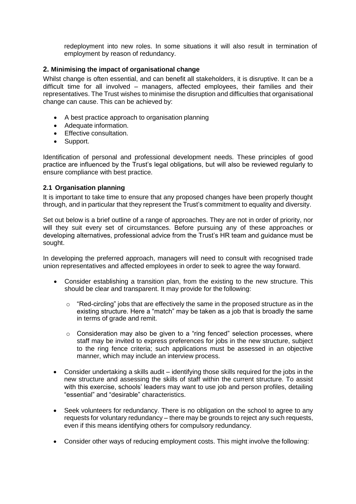redeployment into new roles. In some situations it will also result in termination of employment by reason of redundancy.

## <span id="page-4-0"></span>**2. Minimising the impact of organisational change**

Whilst change is often essential, and can benefit all stakeholders, it is disruptive. It can be a difficult time for all involved – managers, affected employees, their families and their representatives. The Trust wishes to minimise the disruption and difficulties that organisational change can cause. This can be achieved by:

- A best practice approach to organisation planning
- Adequate information.
- Effective consultation.
- Support.

Identification of personal and professional development needs. These principles of good practice are influenced by the Trust's legal obligations, but will also be reviewed regularly to ensure compliance with best practice.

## **2.1 Organisation planning**

It is important to take time to ensure that any proposed changes have been properly thought through, and in particular that they represent the Trust's commitment to equality and diversity.

Set out below is a brief outline of a range of approaches. They are not in order of priority, nor will they suit every set of circumstances. Before pursuing any of these approaches or developing alternatives, professional advice from the Trust's HR team and guidance must be sought.

In developing the preferred approach, managers will need to consult with recognised trade union representatives and affected employees in order to seek to agree the way forward.

- Consider establishing a transition plan, from the existing to the new structure. This should be clear and transparent. It may provide for the following:
	- $\circ$  "Red-circling" jobs that are effectively the same in the proposed structure as in the existing structure. Here a "match" may be taken as a job that is broadly the same in terms of grade and remit.
	- $\circ$  Consideration may also be given to a "ring fenced" selection processes, where staff may be invited to express preferences for jobs in the new structure, subject to the ring fence criteria; such applications must be assessed in an objective manner, which may include an interview process.
- Consider undertaking a skills audit identifying those skills required for the jobs in the new structure and assessing the skills of staff within the current structure. To assist with this exercise, schools' leaders may want to use job and person profiles, detailing "essential" and "desirable" characteristics.
- Seek volunteers for redundancy. There is no obligation on the school to agree to any requests for voluntary redundancy – there may be grounds to reject any such requests, even if this means identifying others for compulsory redundancy.
- Consider other ways of reducing employment costs. This might involve the following: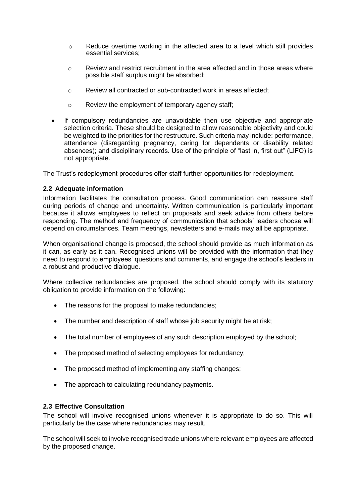- $\circ$  Reduce overtime working in the affected area to a level which still provides essential services;
- o Review and restrict recruitment in the area affected and in those areas where possible staff surplus might be absorbed;
- o Review all contracted or sub-contracted work in areas affected;
- o Review the employment of temporary agency staff;
- If compulsory redundancies are unavoidable then use objective and appropriate selection criteria. These should be designed to allow reasonable objectivity and could be weighted to the priorities for the restructure. Such criteria may include: performance, attendance (disregarding pregnancy, caring for dependents or disability related absences); and disciplinary records. Use of the principle of "last in, first out" (LIFO) is not appropriate.

The Trust's redeployment procedures offer staff further opportunities for redeployment.

## **2.2 Adequate information**

Information facilitates the consultation process. Good communication can reassure staff during periods of change and uncertainty. Written communication is particularly important because it allows employees to reflect on proposals and seek advice from others before responding. The method and frequency of communication that schools' leaders choose will depend on circumstances. Team meetings, newsletters and e-mails may all be appropriate.

When organisational change is proposed, the school should provide as much information as it can, as early as it can. Recognised unions will be provided with the information that they need to respond to employees' questions and comments, and engage the school's leaders in a robust and productive dialogue.

Where collective redundancies are proposed, the school should comply with its statutory obligation to provide information on the following:

- The reasons for the proposal to make redundancies;
- The number and description of staff whose job security might be at risk;
- The total number of employees of any such description employed by the school;
- The proposed method of selecting employees for redundancy;
- The proposed method of implementing any staffing changes;
- The approach to calculating redundancy payments.

## **2.3 Effective Consultation**

The school will involve recognised unions whenever it is appropriate to do so. This will particularly be the case where redundancies may result.

The school will seek to involve recognised trade unions where relevant employees are affected by the proposed change.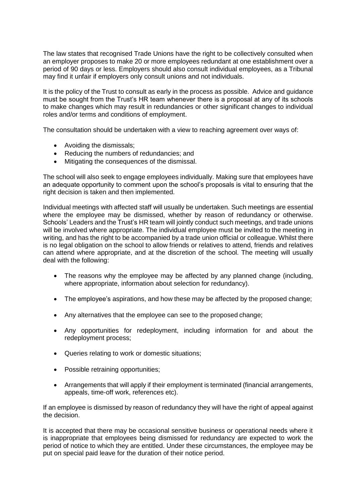The law states that recognised Trade Unions have the right to be collectively consulted when an employer proposes to make 20 or more employees redundant at one establishment over a period of 90 days or less. Employers should also consult individual employees, as a Tribunal may find it unfair if employers only consult unions and not individuals.

It is the policy of the Trust to consult as early in the process as possible. Advice and guidance must be sought from the Trust's HR team whenever there is a proposal at any of its schools to make changes which may result in redundancies or other significant changes to individual roles and/or terms and conditions of employment.

The consultation should be undertaken with a view to reaching agreement over ways of:

- Avoiding the dismissals;
- Reducing the numbers of redundancies; and
- Mitigating the consequences of the dismissal.

The school will also seek to engage employees individually. Making sure that employees have an adequate opportunity to comment upon the school's proposals is vital to ensuring that the right decision is taken and then implemented.

Individual meetings with affected staff will usually be undertaken. Such meetings are essential where the employee may be dismissed, whether by reason of redundancy or otherwise. Schools' Leaders and the Trust's HR team will jointly conduct such meetings, and trade unions will be involved where appropriate. The individual employee must be invited to the meeting in writing, and has the right to be accompanied by a trade union official or colleague. Whilst there is no legal obligation on the school to allow friends or relatives to attend, friends and relatives can attend where appropriate, and at the discretion of the school. The meeting will usually deal with the following:

- The reasons why the employee may be affected by any planned change (including, where appropriate, information about selection for redundancy).
- The employee's aspirations, and how these may be affected by the proposed change:
- Any alternatives that the employee can see to the proposed change;
- Any opportunities for redeployment, including information for and about the redeployment process;
- Queries relating to work or domestic situations;
- Possible retraining opportunities;
- Arrangements that will apply if their employment is terminated (financial arrangements, appeals, time-off work, references etc).

If an employee is dismissed by reason of redundancy they will have the right of appeal against the decision.

It is accepted that there may be occasional sensitive business or operational needs where it is inappropriate that employees being dismissed for redundancy are expected to work the period of notice to which they are entitled. Under these circumstances, the employee may be put on special paid leave for the duration of their notice period.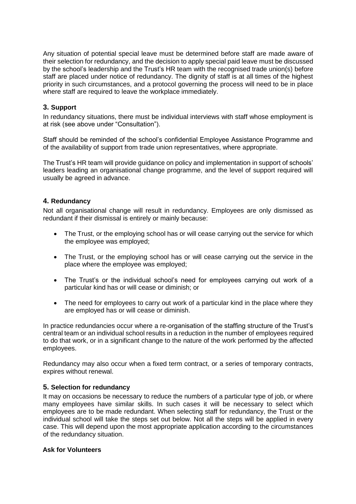Any situation of potential special leave must be determined before staff are made aware of their selection for redundancy, and the decision to apply special paid leave must be discussed by the school's leadership and the Trust's HR team with the recognised trade union(s) before staff are placed under notice of redundancy. The dignity of staff is at all times of the highest priority in such circumstances, and a protocol governing the process will need to be in place where staff are required to leave the workplace immediately.

## <span id="page-7-0"></span>**3. Support**

In redundancy situations, there must be individual interviews with staff whose employment is at risk (see above under "Consultation").

Staff should be reminded of the school's confidential Employee Assistance Programme and of the availability of support from trade union representatives, where appropriate.

The Trust's HR team will provide guidance on policy and implementation in support of schools' leaders leading an organisational change programme, and the level of support required will usually be agreed in advance.

## <span id="page-7-1"></span>**4. Redundancy**

Not all organisational change will result in redundancy. Employees are only dismissed as redundant if their dismissal is entirely or mainly because:

- The Trust, or the employing school has or will cease carrying out the service for which the employee was employed;
- The Trust, or the employing school has or will cease carrying out the service in the place where the employee was employed;
- The Trust's or the individual school's need for employees carrying out work of a particular kind has or will cease or diminish; or
- The need for employees to carry out work of a particular kind in the place where they are employed has or will cease or diminish.

In practice redundancies occur where a re-organisation of the staffing structure of the Trust's central team or an individual school results in a reduction in the number of employees required to do that work, or in a significant change to the nature of the work performed by the affected employees.

Redundancy may also occur when a fixed term contract, or a series of temporary contracts, expires without renewal.

## <span id="page-7-2"></span>**5. Selection for redundancy**

It may on occasions be necessary to reduce the numbers of a particular type of job, or where many employees have similar skills. In such cases it will be necessary to select which employees are to be made redundant. When selecting staff for redundancy, the Trust or the individual school will take the steps set out below. Not all the steps will be applied in every case. This will depend upon the most appropriate application according to the circumstances of the redundancy situation.

## **Ask for Volunteers**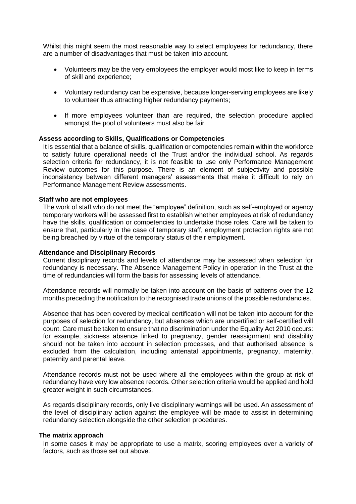Whilst this might seem the most reasonable way to select employees for redundancy, there are a number of disadvantages that must be taken into account.

- Volunteers may be the very employees the employer would most like to keep in terms of skill and experience;
- Voluntary redundancy can be expensive, because longer-serving employees are likely to volunteer thus attracting higher redundancy payments;
- If more employees volunteer than are required, the selection procedure applied amongst the pool of volunteers must also be fair

#### **Assess according to Skills, Qualifications or Competencies**

It is essential that a balance of skills, qualification or competencies remain within the workforce to satisfy future operational needs of the Trust and/or the individual school. As regards selection criteria for redundancy, it is not feasible to use only Performance Management Review outcomes for this purpose. There is an element of subjectivity and possible inconsistency between different managers' assessments that make it difficult to rely on Performance Management Review assessments.

#### **Staff who are not employees**

The work of staff who do not meet the "employee" definition, such as self-employed or agency temporary workers will be assessed first to establish whether employees at risk of redundancy have the skills, qualification or competencies to undertake those roles. Care will be taken to ensure that, particularly in the case of temporary staff, employment protection rights are not being breached by virtue of the temporary status of their employment.

#### **Attendance and Disciplinary Records**

Current disciplinary records and levels of attendance may be assessed when selection for redundancy is necessary. The Absence Management Policy in operation in the Trust at the time of redundancies will form the basis for assessing levels of attendance.

Attendance records will normally be taken into account on the basis of patterns over the 12 months preceding the notification to the recognised trade unions of the possible redundancies.

Absence that has been covered by medical certification will not be taken into account for the purposes of selection for redundancy, but absences which are uncertified or self-certified will count. Care must be taken to ensure that no discrimination under the Equality Act 2010 occurs: for example, sickness absence linked to pregnancy, gender reassignment and disability should not be taken into account in selection processes, and that authorised absence is excluded from the calculation, including antenatal appointments, pregnancy, maternity, paternity and parental leave.

Attendance records must not be used where all the employees within the group at risk of redundancy have very low absence records. Other selection criteria would be applied and hold greater weight in such circumstances.

As regards disciplinary records, only live disciplinary warnings will be used. An assessment of the level of disciplinary action against the employee will be made to assist in determining redundancy selection alongside the other selection procedures.

#### **The matrix approach**

In some cases it may be appropriate to use a matrix, scoring employees over a variety of factors, such as those set out above.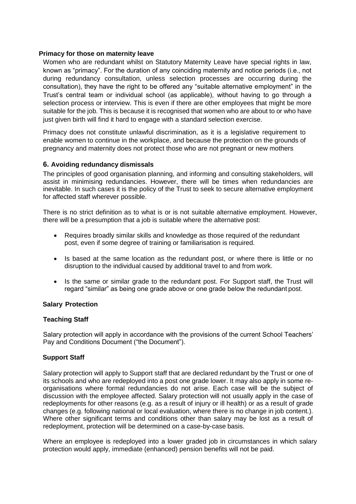## **Primacy for those on maternity leave**

Women who are redundant whilst on Statutory Maternity Leave have special rights in law, known as "primacy". For the duration of any coinciding maternity and notice periods (i.e., not during redundancy consultation, unless selection processes are occurring during the consultation), they have the right to be offered any "suitable alternative employment" in the Trust's central team or individual school (as applicable), without having to go through a selection process or interview. This is even if there are other employees that might be more suitable for the job. This is because it is recognised that women who are about to or who have just given birth will find it hard to engage with a standard selection exercise.

Primacy does not constitute unlawful discrimination, as it is a legislative requirement to enable women to continue in the workplace, and because the protection on the grounds of pregnancy and maternity does not protect those who are not pregnant or new mothers

## <span id="page-9-0"></span>**6. Avoiding redundancy dismissals**

The principles of good organisation planning, and informing and consulting stakeholders, will assist in minimising redundancies. However, there will be times when redundancies are inevitable. In such cases it is the policy of the Trust to seek to secure alternative employment for affected staff wherever possible.

There is no strict definition as to what is or is not suitable alternative employment. However, there will be a presumption that a job is suitable where the alternative post:

- Requires broadly similar skills and knowledge as those required of the redundant post, even if some degree of training or familiarisation is required.
- Is based at the same location as the redundant post, or where there is little or no disruption to the individual caused by additional travel to and from work.
- Is the same or similar grade to the redundant post. For Support staff, the Trust will regard "similar" as being one grade above or one grade below the redundant post.

#### **Salary Protection**

#### **Teaching Staff**

Salary protection will apply in accordance with the provisions of the current School Teachers' Pay and Conditions Document ("the Document").

## **Support Staff**

Salary protection will apply to Support staff that are declared redundant by the Trust or one of its schools and who are redeployed into a post one grade lower. It may also apply in some reorganisations where formal redundancies do not arise. Each case will be the subject of discussion with the employee affected. Salary protection will not usually apply in the case of redeployments for other reasons (e.g. as a result of injury or ill health) or as a result of grade changes (e.g. following national or local evaluation, where there is no change in job content.). Where other significant terms and conditions other than salary may be lost as a result of redeployment, protection will be determined on a case-by-case basis.

Where an employee is redeployed into a lower graded job in circumstances in which salary protection would apply, immediate (enhanced) pension benefits will not be paid.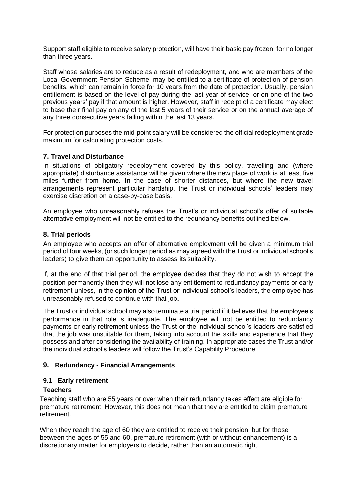Support staff eligible to receive salary protection, will have their basic pay frozen, for no longer than three years.

Staff whose salaries are to reduce as a result of redeployment, and who are members of the Local Government Pension Scheme, may be entitled to a certificate of protection of pension benefits, which can remain in force for 10 years from the date of protection. Usually, pension entitlement is based on the level of pay during the last year of service, or on one of the two previous years' pay if that amount is higher. However, staff in receipt of a certificate may elect to base their final pay on any of the last 5 years of their service or on the annual average of any three consecutive years falling within the last 13 years.

For protection purposes the mid-point salary will be considered the official redeployment grade maximum for calculating protection costs.

## <span id="page-10-0"></span>**7. Travel and Disturbance**

In situations of obligatory redeployment covered by this policy, travelling and (where appropriate) disturbance assistance will be given where the new place of work is at least five miles further from home. In the case of shorter distances, but where the new travel arrangements represent particular hardship, the Trust or individual schools' leaders may exercise discretion on a case-by-case basis.

An employee who unreasonably refuses the Trust's or individual school's offer of suitable alternative employment will not be entitled to the redundancy benefits outlined below.

## <span id="page-10-1"></span>**8. Trial periods**

An employee who accepts an offer of alternative employment will be given a minimum trial period of four weeks, (or such longer period as may agreed with the Trust or individual school's leaders) to give them an opportunity to assess its suitability.

If, at the end of that trial period, the employee decides that they do not wish to accept the position permanently then they will not lose any entitlement to redundancy payments or early retirement unless, in the opinion of the Trust or individual school's leaders, the employee has unreasonably refused to continue with that job.

The Trust or individual school may also terminate a trial period if it believes that the employee's performance in that role is inadequate. The employee will not be entitled to redundancy payments or early retirement unless the Trust or the individual school's leaders are satisfied that the job was unsuitable for them, taking into account the skills and experience that they possess and after considering the availability of training. In appropriate cases the Trust and/or the individual school's leaders will follow the Trust's Capability Procedure.

## <span id="page-10-2"></span>**9. Redundancy - Financial Arrangements**

## **9.1 Early retirement**

## **Teachers**

Teaching staff who are 55 years or over when their redundancy takes effect are eligible for premature retirement. However, this does not mean that they are entitled to claim premature retirement.

When they reach the age of 60 they are entitled to receive their pension, but for those between the ages of 55 and 60, premature retirement (with or without enhancement) is a discretionary matter for employers to decide, rather than an automatic right.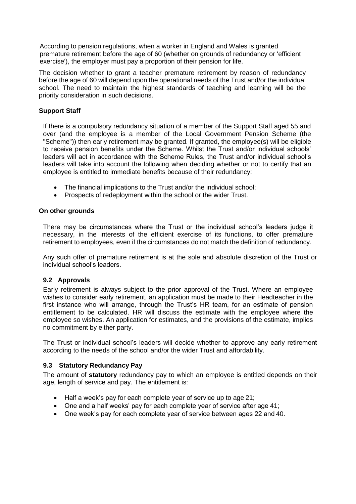According to pension regulations, when a worker in England and Wales is granted premature retirement before the age of 60 (whether on grounds of redundancy or 'efficient exercise'), the employer must pay a proportion of their pension for life.

The decision whether to grant a teacher premature retirement by reason of redundancy before the age of 60 will depend upon the operational needs of the Trust and/or the individual school. The need to maintain the highest standards of teaching and learning will be the priority consideration in such decisions.

## **Support Staff**

If there is a compulsory redundancy situation of a member of the Support Staff aged 55 and over (and the employee is a member of the Local Government Pension Scheme (the "Scheme")) then early retirement may be granted. If granted, the employee(s) will be eligible to receive pension benefits under the Scheme. Whilst the Trust and/or individual schools' leaders will act in accordance with the Scheme Rules, the Trust and/or individual school's leaders will take into account the following when deciding whether or not to certify that an employee is entitled to immediate benefits because of their redundancy:

- The financial implications to the Trust and/or the individual school;
- Prospects of redeployment within the school or the wider Trust.

## **On other grounds**

There may be circumstances where the Trust or the individual school's leaders judge it necessary, in the interests of the efficient exercise of its functions, to offer premature retirement to employees, even if the circumstances do not match the definition of redundancy.

Any such offer of premature retirement is at the sole and absolute discretion of the Trust or individual school's leaders.

## **9.2 Approvals**

Early retirement is always subject to the prior approval of the Trust. Where an employee wishes to consider early retirement, an application must be made to their Headteacher in the first instance who will arrange, through the Trust's HR team, for an estimate of pension entitlement to be calculated. HR will discuss the estimate with the employee where the employee so wishes. An application for estimates, and the provisions of the estimate, implies no commitment by either party.

The Trust or individual school's leaders will decide whether to approve any early retirement according to the needs of the school and/or the wider Trust and affordability.

## **9.3 Statutory Redundancy Pay**

The amount of **statutory** redundancy pay to which an employee is entitled depends on their age, length of service and pay. The entitlement is:

- Half a week's pay for each complete year of service up to age 21;
- One and a half weeks' pay for each complete year of service after age 41;
- One week's pay for each complete year of service between ages 22 and 40.